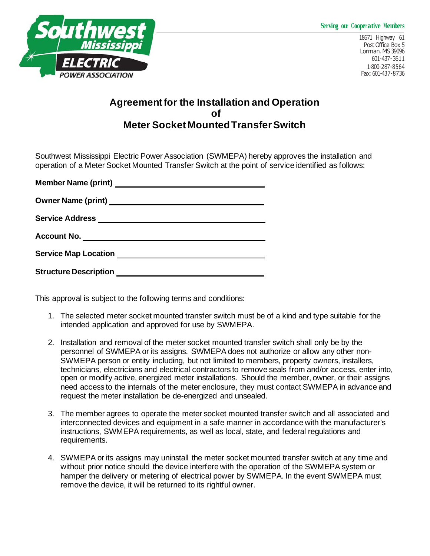## **Serving our Cooperative Members**



## **Agreement for the Installation and Operation of Meter Socket Mounted Transfer Switch**

Southwest Mississippi Electric Power Association (SWMEPA) hereby approves the installation and operation of a Meter Socket Mounted Transfer Switch at the point of service identified as follows:

| <b>Owner Name (print)</b>    |
|------------------------------|
| <b>Service Address</b>       |
| <b>Account No.</b>           |
| <b>Service Map Location</b>  |
| <b>Structure Description</b> |

This approval is subject to the following terms and conditions:

- 1. The selected meter socket mounted transfer switch must be of a kind and type suitable for the intended application and approved for use by SWMEPA.
- 2. Installation and removal of the meter socket mounted transfer switch shall only be by the personnel of SWMEPA or its assigns. SWMEPA does not authorize or allow any other non-SWMEPA person or entity including, but not limited to members, property owners, installers, technicians, electricians and electrical contractors to remove seals from and/or access, enter into, open or modify active, energized meter installations. Should the member, owner, or their assigns need access to the internals of the meter enclosure, they must contact SWMEPA in advance and request the meter installation be de-energized and unsealed.
- 3. The member agrees to operate the meter socket mounted transfer switch and all associated and interconnected devices and equipment in a safe manner in accordance with the manufacturer's instructions, SWMEPA requirements, as well as local, state, and federal regulations and requirements.
- 4. SWMEPA or its assigns may uninstall the meter socket mounted transfer switch at any time and without prior notice should the device interfere with the operation of the SWMEPA system or hamper the delivery or metering of electrical power by SWMEPA. In the event SWMEPA must remove the device, it will be returned to its rightful owner.